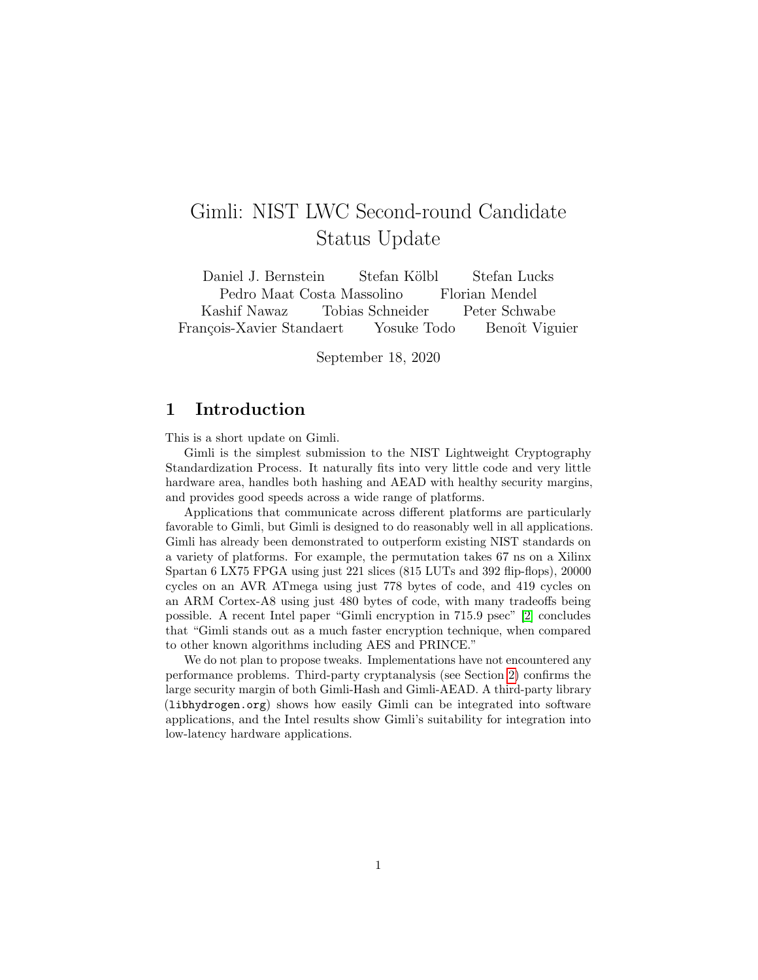## Gimli: NIST LWC Second-round Candidate Status Update

Daniel J. Bernstein Stefan Kölbl Stefan Lucks Pedro Maat Costa Massolino Florian Mendel Kashif Nawaz Tobias Schneider Peter Schwabe François-Xavier Standaert Yosuke Todo Benoît Viguier

September 18, 2020

## 1 Introduction

This is a short update on Gimli.

Gimli is the simplest submission to the NIST Lightweight Cryptography Standardization Process. It naturally fits into very little code and very little hardware area, handles both hashing and AEAD with healthy security margins, and provides good speeds across a wide range of platforms.

Applications that communicate across different platforms are particularly favorable to Gimli, but Gimli is designed to do reasonably well in all applications. Gimli has already been demonstrated to outperform existing NIST standards on a variety of platforms. For example, the permutation takes 67 ns on a Xilinx Spartan 6 LX75 FPGA using just 221 slices (815 LUTs and 392 flip-flops), 20000 cycles on an AVR ATmega using just 778 bytes of code, and 419 cycles on an ARM Cortex-A8 using just 480 bytes of code, with many tradeoffs being possible. A recent Intel paper "Gimli encryption in 715.9 psec" [\[2\]](#page-2-0) concludes that "Gimli stands out as a much faster encryption technique, when compared to other known algorithms including AES and PRINCE."

We do not plan to propose tweaks. Implementations have not encountered any performance problems. Third-party cryptanalysis (see Section [2\)](#page-1-0) confirms the large security margin of both Gimli-Hash and Gimli-AEAD. A third-party library ([libhydrogen.org](https://libhydrogen.org)) shows how easily Gimli can be integrated into software applications, and the Intel results show Gimli's suitability for integration into low-latency hardware applications.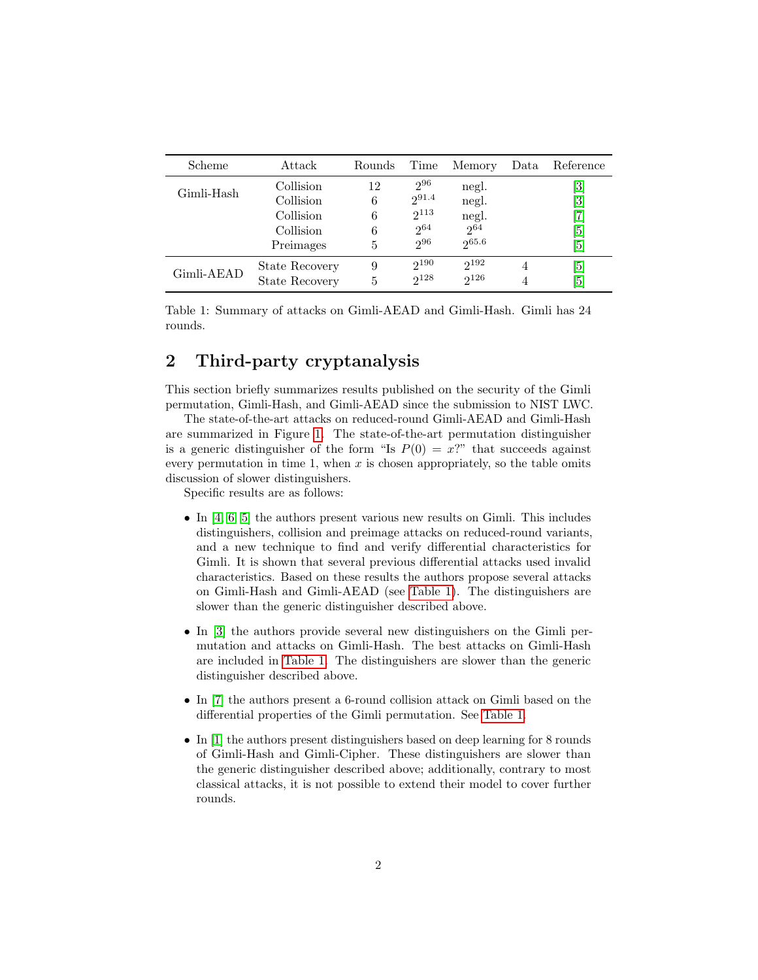| Scheme     | Attack                | Rounds | Time       | Memory    | Data | Reference                    |
|------------|-----------------------|--------|------------|-----------|------|------------------------------|
| Gimli-Hash | Collision             | 12     | $2^{96}$   | negl.     |      | $\left\lceil 3 \right\rceil$ |
|            | Collision             | 6      | $2^{91.4}$ | negl.     |      | $\left\lceil 3 \right\rceil$ |
|            | Collision             | 6      | $2^{113}$  | negl.     |      |                              |
|            | Collision             | 6      | $2^{64}$   | $2^{64}$  |      | $\lceil 5 \rceil$            |
|            | Preimages             | 5      | 296        | 265.6     |      | $\lceil 5 \rceil$            |
| Gimli-AEAD | State Recovery        | 9      | $2^{190}$  | $2^{192}$ | 4    | $\lceil 5 \rceil$            |
|            | <b>State Recovery</b> | 5      | $2^{128}$  | $2^{126}$ |      | $\sqrt{5}$                   |

<span id="page-1-1"></span>Table 1: Summary of attacks on Gimli-AEAD and Gimli-Hash. Gimli has 24 rounds.

## <span id="page-1-0"></span>2 Third-party cryptanalysis

This section briefly summarizes results published on the security of the Gimli permutation, Gimli-Hash, and Gimli-AEAD since the submission to NIST LWC.

The state-of-the-art attacks on reduced-round Gimli-AEAD and Gimli-Hash are summarized in Figure [1.](#page-1-1) The state-of-the-art permutation distinguisher is a generic distinguisher of the form "Is  $P(0) = x$ ?" that succeeds against every permutation in time 1, when  $x$  is chosen appropriately, so the table omits discussion of slower distinguishers.

Specific results are as follows:

- In  $[4, 6, 5]$  $[4, 6, 5]$  $[4, 6, 5]$  $[4, 6, 5]$  $[4, 6, 5]$  the authors present various new results on Gimli. This includes distinguishers, collision and preimage attacks on reduced-round variants, and a new technique to find and verify differential characteristics for Gimli. It is shown that several previous differential attacks used invalid characteristics. Based on these results the authors propose several attacks on Gimli-Hash and Gimli-AEAD (see [Table](#page-1-1) 1). The distinguishers are slower than the generic distinguisher described above.
- In [\[3\]](#page-2-1) the authors provide several new distinguishers on the Gimli permutation and attacks on Gimli-Hash. The best attacks on Gimli-Hash are included in [Table](#page-1-1) 1. The distinguishers are slower than the generic distinguisher described above.
- In [\[7\]](#page-2-2) the authors present a 6-round collision attack on Gimli based on the differential properties of the Gimli permutation. See [Table](#page-1-1) 1.
- In [\[1\]](#page-2-6) the authors present distinguishers based on deep learning for 8 rounds of Gimli-Hash and Gimli-Cipher. These distinguishers are slower than the generic distinguisher described above; additionally, contrary to most classical attacks, it is not possible to extend their model to cover further rounds.